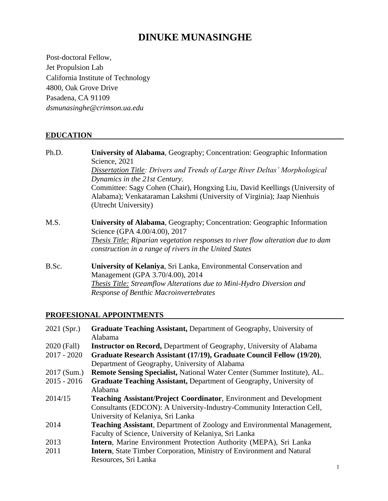# **DINUKE MUNASINGHE**

Post-doctoral Fellow, Jet Propulsion Lab California Institute of Technology 4800, Oak Grove Drive Pasadena, CA 91109 *[dsmunasinghe@crimson.ua.edu](mailto:dsmunasinghe@crimson.ua.edu)*

# **EDUCATION**

| Ph.D. | University of Alabama, Geography; Concentration: Geographic Information                                         |
|-------|-----------------------------------------------------------------------------------------------------------------|
|       | Science, 2021                                                                                                   |
|       | <b>Dissertation Title: Drivers and Trends of Large River Deltas' Morphological</b>                              |
|       | Dynamics in the 21st Century.                                                                                   |
|       | Committee: Sagy Cohen (Chair), Hongxing Liu, David Keellings (University of                                     |
|       | Alabama); Venkataraman Lakshmi (University of Virginia); Jaap Nienhuis                                          |
|       | (Utrecht University)                                                                                            |
| M.S.  | <b>University of Alabama, Geography; Concentration: Geographic Information</b><br>Science (GPA 4.00/4.00), 2017 |
|       | <b>Thesis Title: Riparian vegetation responses to river flow alteration due to dam</b>                          |
|       | construction in a range of rivers in the United States                                                          |
| B.Sc. | University of Kelaniya, Sri Lanka, Environmental Conservation and                                               |
|       | Management (GPA 3.70/4.00), 2014                                                                                |
|       | <b>Thesis Title: Streamflow Alterations due to Mini-Hydro Diversion and</b>                                     |
|       | <b>Response of Benthic Macroinvertebrates</b>                                                                   |

# **PROFESIONAL APPOINTMENTS**

| 2021 (Spr.)   | <b>Graduate Teaching Assistant, Department of Geography, University of</b>     |
|---------------|--------------------------------------------------------------------------------|
|               | Alabama                                                                        |
| 2020 (Fall)   | <b>Instructor on Record, Department of Geography, University of Alabama</b>    |
| $2017 - 2020$ | Graduate Research Assistant (17/19), Graduate Council Fellow (19/20),          |
|               | Department of Geography, University of Alabama                                 |
| 2017 (Sum.)   | Remote Sensing Specialist, National Water Center (Summer Institute), AL.       |
| $2015 - 2016$ | <b>Graduate Teaching Assistant, Department of Geography, University of</b>     |
|               | Alabama                                                                        |
| 2014/15       | <b>Teaching Assistant/Project Coordinator, Environment and Development</b>     |
|               | Consultants (EDCON): A University-Industry-Community Interaction Cell,         |
|               | University of Kelaniya, Sri Lanka                                              |
| 2014          | <b>Teaching Assistant, Department of Zoology and Environmental Management,</b> |
|               | Faculty of Science, University of Kelaniya, Sri Lanka                          |
| 2013          | Intern, Marine Environment Protection Authority (MEPA), Sri Lanka              |
| 2011          | <b>Intern, State Timber Corporation, Ministry of Environment and Natural</b>   |
|               | Resources, Sri Lanka                                                           |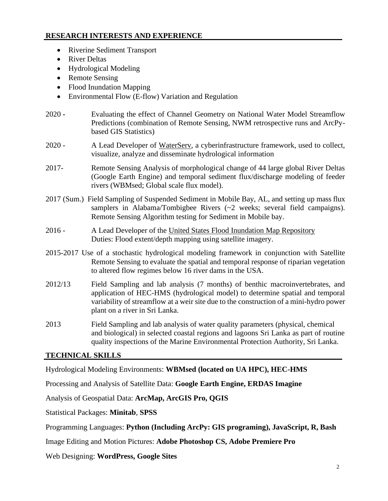# **RESEARCH INTERESTS AND EXPERIENCE**

- Riverine Sediment Transport
- River Deltas
- Hydrological Modeling
- Remote Sensing
- Flood Inundation Mapping
- Environmental Flow (E-flow) Variation and Regulation
- 2020 **-** Evaluating the effect of Channel Geometry on National Water Model Streamflow Predictions (combination of Remote Sensing, NWM retrospective runs and ArcPybased GIS Statistics)
- 2020 A Lead Developer of [WaterServ,](http://waterserv.ua.edu/) a cyberinfrastructure framework, used to collect, visualize, analyze and disseminate hydrological information
- 2017- Remote Sensing Analysis of morphological change of 44 large global River Deltas (Google Earth Engine) and temporal sediment flux/discharge modeling of feeder rivers (WBMsed; Global scale flux model).
- 2017 (Sum.) Field Sampling of Suspended Sediment in Mobile Bay, AL, and setting up mass flux samplers in Alabama/Tombigbee Rivers (~2 weeks; several field campaigns). Remote Sensing Algorithm testing for Sediment in Mobile bay.
- 2016 A Lead Developer of the [United States Flood Inundation Map Repository](https://sdml.ua.edu/usfimr/) Duties: Flood extent/depth mapping using satellite imagery.
- 2015-2017 Use of a stochastic hydrological modeling framework in conjunction with Satellite Remote Sensing to evaluate the spatial and temporal response of riparian vegetation to altered flow regimes below 16 river dams in the USA.
- 2012/13 Field Sampling and lab analysis (7 months) of benthic macroinvertebrates, and application of HEC-HMS (hydrological model) to determine spatial and temporal variability of streamflow at a weir site due to the construction of a mini-hydro power plant on a river in Sri Lanka.
- 2013 Field Sampling and lab analysis of water quality parameters (physical, chemical and biological) in selected coastal regions and lagoons Sri Lanka as part of routine quality inspections of the Marine Environmental Protection Authority, Sri Lanka.

# **TECHNICAL SKILLS**

Hydrological Modeling Environments: **WBMsed (located on UA HPC), HEC-HMS**

Processing and Analysis of Satellite Data: **Google Earth Engine, ERDAS Imagine**

Analysis of Geospatial Data: **ArcMap, ArcGIS Pro, QGIS**

Statistical Packages: **Minitab**, **SPSS**

Programming Languages: **Python (Including ArcPy: GIS programing), JavaScript, R, Bash**

Image Editing and Motion Pictures: **Adobe Photoshop CS, Adobe Premiere Pro**

Web Designing: **WordPress, Google Sites**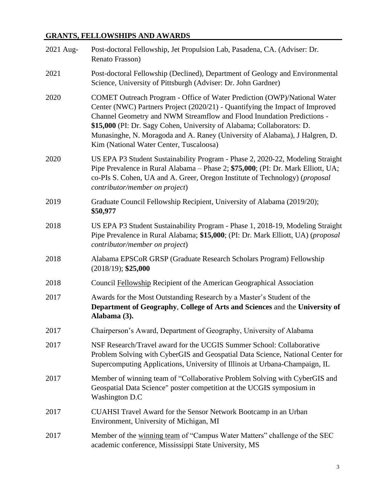# **GRANTS, FELLOWSHIPS AND AWARDS**

| 2021 Aug- | Post-doctoral Fellowship, Jet Propulsion Lab, Pasadena, CA. (Adviser: Dr.<br>Renato Frasson)                                                                                                                                                                                                                                                                                                                                           |
|-----------|----------------------------------------------------------------------------------------------------------------------------------------------------------------------------------------------------------------------------------------------------------------------------------------------------------------------------------------------------------------------------------------------------------------------------------------|
| 2021      | Post-doctoral Fellowship (Declined), Department of Geology and Environmental<br>Science, University of Pittsburgh (Adviser: Dr. John Gardner)                                                                                                                                                                                                                                                                                          |
| 2020      | COMET Outreach Program - Office of Water Prediction (OWP)/National Water<br>Center (NWC) Partners Project (2020/21) - Quantifying the Impact of Improved<br>Channel Geometry and NWM Streamflow and Flood Inundation Predictions -<br>\$15,000 (PI: Dr. Sagy Cohen, University of Alabama; Collaborators: D.<br>Munasinghe, N. Moragoda and A. Raney (University of Alabama), J Halgren, D.<br>Kim (National Water Center, Tuscaloosa) |
| 2020      | US EPA P3 Student Sustainability Program - Phase 2, 2020-22, Modeling Straight<br>Pipe Prevalence in Rural Alabama - Phase 2; \$75,000; (PI: Dr. Mark Elliott, UA;<br>co-PIs S. Cohen, UA and A. Greer, Oregon Institute of Technology) (proposal<br>contributor/member on project)                                                                                                                                                    |
| 2019      | Graduate Council Fellowship Recipient, University of Alabama (2019/20);<br>\$50,977                                                                                                                                                                                                                                                                                                                                                    |
| 2018      | US EPA P3 Student Sustainability Program - Phase 1, 2018-19, Modeling Straight<br>Pipe Prevalence in Rural Alabama; \$15,000; (PI: Dr. Mark Elliott, UA) (proposal<br>contributor/member on project)                                                                                                                                                                                                                                   |
| 2018      | Alabama EPSCoR GRSP (Graduate Research Scholars Program) Fellowship<br>$(2018/19);$ \$25,000                                                                                                                                                                                                                                                                                                                                           |
| 2018      | Council Fellowship Recipient of the American Geographical Association                                                                                                                                                                                                                                                                                                                                                                  |
| 2017      | Awards for the Most Outstanding Research by a Master's Student of the<br>Department of Geography, College of Arts and Sciences and the University of<br>Alabama (3).                                                                                                                                                                                                                                                                   |
| 2017      | Chairperson's Award, Department of Geography, University of Alabama                                                                                                                                                                                                                                                                                                                                                                    |
| 2017      | NSF Research/Travel award for the UCGIS Summer School: Collaborative<br>Problem Solving with CyberGIS and Geospatial Data Science, National Center for<br>Supercomputing Applications, University of Illinois at Urbana-Champaign, IL                                                                                                                                                                                                  |
| 2017      | Member of winning team of "Collaborative Problem Solving with CyberGIS and<br>Geospatial Data Science" poster competition at the UCGIS symposium in<br>Washington D.C                                                                                                                                                                                                                                                                  |
| 2017      | CUAHSI Travel Award for the Sensor Network Bootcamp in an Urban<br>Environment, University of Michigan, MI                                                                                                                                                                                                                                                                                                                             |
| 2017      | Member of the winning team of "Campus Water Matters" challenge of the SEC<br>academic conference, Mississippi State University, MS                                                                                                                                                                                                                                                                                                     |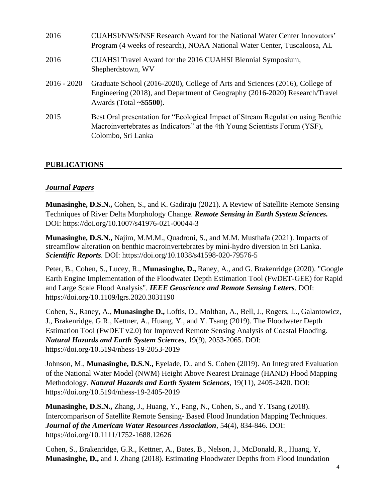| 2016          | CUAHSI/NWS/NSF Research Award for the National Water Center Innovators'<br>Program (4 weeks of research), NOAA National Water Center, Tuscaloosa, AL                                         |
|---------------|----------------------------------------------------------------------------------------------------------------------------------------------------------------------------------------------|
| 2016          | CUAHSI Travel Award for the 2016 CUAHSI Biennial Symposium,<br>Shepherdstown, WV                                                                                                             |
| $2016 - 2020$ | Graduate School (2016-2020), College of Arts and Sciences (2016), College of<br>Engineering (2018), and Department of Geography (2016-2020) Research/Travel<br>Awards (Total $\sim$ \$5500). |
| 2015          | Best Oral presentation for "Ecological Impact of Stream Regulation using Benthic<br>Macroinvertebrates as Indicators" at the 4th Young Scientists Forum (YSF),<br>Colombo, Sri Lanka         |

# **PUBLICATIONS**

# *Journal Papers*

**Munasinghe, D.S.N.,** Cohen, S., and K. Gadiraju (2021). A Review of Satellite Remote Sensing Techniques of River Delta Morphology Change. *Remote Sensing in Earth System Sciences.* DOI: https://doi.org/10.1007/s41976-021-00044-3

**Munasinghe, D.S.N.,** Najim, M.M.M., Quadroni, S., and M.M. Musthafa (2021). Impacts of streamflow alteration on benthic macroinvertebrates by mini‑hydro diversion in Sri Lanka. *Scientific Reports.* DOI: <https://doi.org/10.1038/s41598-020-79576-5>

Peter, B., Cohen, S., Lucey, R., **Munasinghe, D.,** Raney, A., and G. Brakenridge (2020). "Google Earth Engine Implementation of the Floodwater Depth Estimation Tool (FwDET-GEE) for Rapid and Large Scale Flood Analysis". *IEEE Geoscience and Remote Sensing Letters.* DOI: <https://doi.org/10.1109/lgrs.2020.3031190>

Cohen, S., Raney, A., **Munasinghe D.,** Loftis, D., Molthan, A., Bell, J., Rogers, L., Galantowicz, J., Brakenridge, G.R., Kettner, A., Huang, Y., and Y. Tsang (2019). The Floodwater Depth Estimation Tool (FwDET v2.0) for Improved Remote Sensing Analysis of Coastal Flooding. *Natural Hazards and Earth System Sciences*, 19(9), 2053-2065. DOI: <https://doi.org/10.5194/nhess-19-2053-2019>

Johnson, M., **Munasinghe, D.S.N.,** Eyelade, D., and S. Cohen (2019). An Integrated Evaluation of the National Water Model (NWM) Height Above Nearest Drainage (HAND) Flood Mapping Methodology. *Natural Hazards and Earth System Sciences,* 19(11), 2405-2420. DOI: <https://doi.org/10.5194/nhess-19-2405-2019>

**Munasinghe, D.S.N.,** Zhang, J., Huang, Y., Fang, N., Cohen, S., and Y. Tsang (2018). Intercomparison of Satellite Remote Sensing- Based Flood Inundation Mapping Techniques. *Journal of the American Water Resources Association*, 54(4), 834-846. DOI: <https://doi.org/10.1111/1752-1688.12626>

Cohen, S., Brakenridge, G.R., Kettner, A., Bates, B., Nelson, J., McDonald, R., Huang, Y, **Munasinghe, D.,** and J. Zhang (2018). Estimating Floodwater Depths from Flood Inundation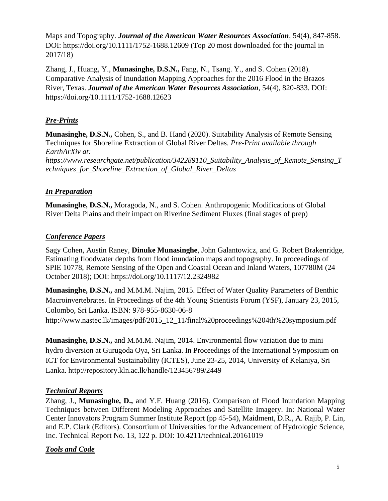Maps and Topography. *Journal of the American Water Resources Association*, 54(4), 847-858. DOI:<https://doi.org/10.1111/1752-1688.12609> (Top 20 most downloaded for the journal in 2017/18)

Zhang, J., Huang, Y., **Munasinghe, D.S.N.,** Fang, N., Tsang. Y., and S. Cohen (2018). Comparative Analysis of Inundation Mapping Approaches for the 2016 Flood in the Brazos River, Texas. *Journal of the American Water Resources Association*, 54(4), 820-833. DOI: <https://doi.org/10.1111/1752-1688.12623>

# *Pre-Prints*

**Munasinghe, D.S.N.,** Cohen, S., and B. Hand (2020). Suitability Analysis of Remote Sensing Techniques for Shoreline Extraction of Global River Deltas*. Pre-Print available through EarthArXiv at: [https://www.researchgate.net/publication/342289110\\_Suitability\\_Analysis\\_of\\_Remote\\_Sensing\\_T](https://www.researchgate.net/publication/342289110_Suitability_Analysis_of_Remote_Sensing_Techniques_for_Shoreline_Extraction_of_Global_River_Deltas) [echniques\\_for\\_Shoreline\\_Extraction\\_of\\_Global\\_River\\_Deltas](https://www.researchgate.net/publication/342289110_Suitability_Analysis_of_Remote_Sensing_Techniques_for_Shoreline_Extraction_of_Global_River_Deltas)*

# *In Preparation*

**Munasinghe, D.S.N.,** Moragoda, N., and S. Cohen. Anthropogenic Modifications of Global River Delta Plains and their impact on Riverine Sediment Fluxes (final stages of prep)

# *Conference Papers*

Sagy Cohen, Austin Raney, **Dinuke Munasinghe**, John Galantowicz, and G. Robert Brakenridge, Estimating floodwater depths from flood inundation maps and topography. In proceedings of SPIE 10778, Remote Sensing of the Open and Coastal Ocean and Inland Waters, 107780M (24 October 2018); DOI:<https://doi.org/10.1117/12.2324982>

**Munasinghe, D.S.N.,** and M.M.M. Najim, 2015. Effect of Water Quality Parameters of Benthic Macroinvertebrates. In Proceedings of the 4th Young Scientists Forum (YSF), January 23, 2015, Colombo, Sri Lanka. ISBN: 978-955-8630-06-8

[http://www.nastec.lk/images/pdf/2015\\_12\\_11/final%20proceedings%204th%20symposium.pdf](http://www.nastec.lk/images/pdf/2015_12_11/final%20proceedings%204th%20symposium.pdf)

**Munasinghe, D.S.N.,** and M.M.M. Najim, 2014. Environmental flow variation due to mini hydro diversion at Gurugoda Oya, Sri Lanka. In Proceedings of the International Symposium on ICT for Environmental Sustainability (ICTES), June 23-25, 2014, University of Kelaniya, Sri Lanka. <http://repository.kln.ac.lk/handle/123456789/2449>

# *Technical Reports*

Zhang, J., **Munasinghe, D.,** and Y.F. Huang (2016). Comparison of Flood Inundation Mapping Techniques between Different Modeling Approaches and Satellite Imagery. In: National Water Center Innovators Program Summer Institute Report (pp 45-54), Maidment, D.R., A. Rajib, P. Lin, and E.P. Clark (Editors). Consortium of Universities for the Advancement of Hydrologic Science, Inc. Technical Report No. 13, 122 p. DOI: 10.4211/technical.20161019

# *Tools and Code*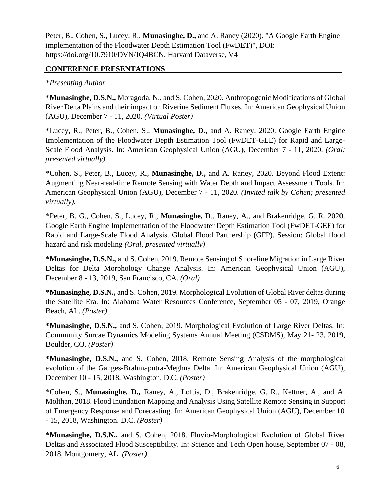Peter, B., Cohen, S., Lucey, R., **Munasinghe, D.,** and A. Raney (2020). "A Google Earth Engine implementation of the Floodwater Depth Estimation Tool (FwDET)", DOI: https://doi.org/10.7910/DVN/JQ4BCN, Harvard Dataverse, V4

# **CONFERENCE PRESENTATIONS**

### *\*Presenting Author*

\***Munasinghe, D.S.N.,** Moragoda, N., and S. Cohen, 2020. Anthropogenic Modifications of Global River Delta Plains and their impact on Riverine Sediment Fluxes. In: American Geophysical Union (AGU), December 7 - 11, 2020. *(Virtual Poster)*

\*Lucey, R., Peter, B., Cohen, S., **Munasinghe, D.,** and A. Raney, 2020. Google Earth Engine Implementation of the Floodwater Depth Estimation Tool (FwDET-GEE) for Rapid and Large-Scale Flood Analysis. In: American Geophysical Union (AGU), December 7 - 11, 2020. *(Oral; presented virtually)*

\*Cohen, S., Peter, B., Lucey, R., **Munasinghe, D.,** and A. Raney, 2020. Beyond Flood Extent: Augmenting Near-real-time Remote Sensing with Water Depth and Impact Assessment Tools. In: American Geophysical Union (AGU), December 7 - 11, 2020. *(Invited talk by Cohen; presented virtually).*

\*Peter, B. G., Cohen, S., Lucey, R., **Munasinghe, D**., Raney, A., and Brakenridge, G. R. 2020. Google Earth Engine Implementation of the Floodwater Depth Estimation Tool (FwDET-GEE) for Rapid and Large-Scale Flood Analysis. Global Flood Partnership (GFP). Session: Global flood hazard and risk modeling *(Oral, presented virtually)*

**\*Munasinghe, D.S.N.,** and S. Cohen, 2019. Remote Sensing of Shoreline Migration in Large River Deltas for Delta Morphology Change Analysis. In: American Geophysical Union (AGU), December 8 - 13, 2019, San Francisco, CA. *(Oral)*

**\*Munasinghe, D.S.N.,** and S. Cohen, 2019. Morphological Evolution of Global River deltas during the Satellite Era. In: Alabama Water Resources Conference, September 05 - 07, 2019, Orange Beach, AL. *(Poster)*

**\*Munasinghe, D.S.N.,** and S. Cohen, 2019. Morphological Evolution of Large River Deltas. In: Community Surcae Dynamics Modeling Systems Annual Meeting (CSDMS), May 21- 23, 2019, Boulder, CO. *(Poster)*

**\*Munasinghe, D.S.N.,** and S. Cohen, 2018. Remote Sensing Analysis of the morphological evolution of the Ganges-Brahmaputra-Meghna Delta. In: American Geophysical Union (AGU), December 10 - 15, 2018, Washington. D.C. *(Poster)*

\*Cohen, S., **Munasinghe, D.,** Raney, A., Loftis, D., Brakenridge, G. R., Kettner, A., and A. Molthan, 2018. Flood Inundation Mapping and Analysis Using Satellite Remote Sensing in Support of Emergency Response and Forecasting. In: American Geophysical Union (AGU), December 10 - 15, 2018, Washington. D.C. *(Poster)*

**\*Munasinghe, D.S.N.,** and S. Cohen, 2018. Fluvio-Morphological Evolution of Global River Deltas and Associated Flood Susceptibility. In: Science and Tech Open house, September 07 - 08, 2018, Montgomery, AL. *(Poster)*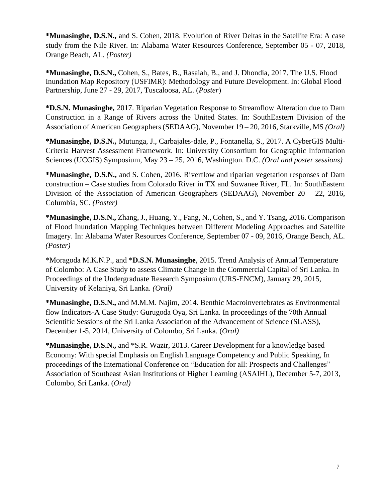**\*Munasinghe, D.S.N.,** and S. Cohen, 2018. Evolution of River Deltas in the Satellite Era: A case study from the Nile River. In: Alabama Water Resources Conference, September 05 - 07, 2018, Orange Beach, AL. *(Poster)*

**\*Munasinghe, D.S.N.,** Cohen, S., Bates, B., Rasaiah, B., and J. Dhondia, 2017. The U.S. Flood Inundation Map Repository (USFIMR): Methodology and Future Development. In: Global Flood Partnership, June 27 - 29, 2017, Tuscaloosa, AL. (*Poster*)

**\*D.S.N. Munasinghe,** 2017. Riparian Vegetation Response to Streamflow Alteration due to Dam Construction in a Range of Rivers across the United States. In: SouthEastern Division of the Association of American Geographers (SEDAAG), November 19 – 20, 2016, Starkville, MS *(Oral)*

**\*Munasinghe, D.S.N.,** Mutunga, J., Carbajales-dale, P., Fontanella, S., 2017. A CyberGIS Multi-Criteria Harvest Assessment Framework. In: University Consortium for Geographic Information Sciences (UCGIS) Symposium, May 23 – 25, 2016, Washington. D.C. *(Oral and poster sessions)*

**\*Munasinghe, D.S.N.,** and S. Cohen, 2016. Riverflow and riparian vegetation responses of Dam construction – Case studies from Colorado River in TX and Suwanee River, FL. In: SouthEastern Division of the Association of American Geographers (SEDAAG), November 20 – 22, 2016, Columbia, SC. *(Poster)*

**\*Munasinghe, D.S.N.,** Zhang, J., Huang, Y., Fang, N., Cohen, S., and Y. Tsang, 2016. Comparison of Flood Inundation Mapping Techniques between Different Modeling Approaches and Satellite Imagery. In: Alabama Water Resources Conference, September 07 - 09, 2016, Orange Beach, AL. *(Poster)*

\*Moragoda M.K.N.P., and \***D.S.N. Munasinghe**, 2015. Trend Analysis of Annual Temperature of Colombo: A Case Study to assess Climate Change in the Commercial Capital of Sri Lanka. In Proceedings of the Undergraduate Research Symposium (URS-ENCM), January 29, 2015, University of Kelaniya, Sri Lanka. *(Oral)*

**\*Munasinghe, D.S.N.,** and M.M.M. Najim, 2014. Benthic Macroinvertebrates as Environmental flow Indicators-A Case Study: Gurugoda Oya, Sri Lanka. In proceedings of the 70th Annual Scientific Sessions of the Sri Lanka Association of the Advancement of Science (SLASS), December 1-5, 2014, University of Colombo, Sri Lanka. (*Oral)*

**\*Munasinghe, D.S.N.,** and \*S.R. Wazir, 2013. Career Development for a knowledge based Economy: With special Emphasis on English Language Competency and Public Speaking, In proceedings of the International Conference on "Education for all: Prospects and Challenges" – Association of Southeast Asian Institutions of Higher Learning (ASAIHL), December 5-7, 2013, Colombo, Sri Lanka. (*Oral)*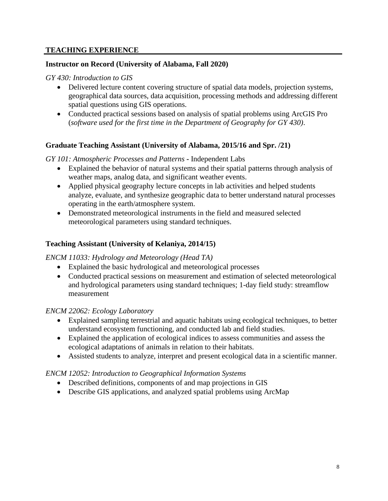### **TEACHING EXPERIENCE**

#### **Instructor on Record (University of Alabama, Fall 2020)**

#### *GY 430: Introduction to GIS*

- Delivered lecture content covering structure of spatial data models, projection systems, geographical data sources, data acquisition, processing methods and addressing different spatial questions using GIS operations.
- Conducted practical sessions based on analysis of spatial problems using ArcGIS Pro (*software used for the first time in the Department of Geography for GY 430)*.

# **Graduate Teaching Assistant (University of Alabama, 2015/16 and Spr. /21)**

#### *GY 101: Atmospheric Processes and Patterns* **-** Independent Labs

- Explained the behavior of natural systems and their spatial patterns through analysis of weather maps, analog data, and significant weather events.
- Applied physical geography lecture concepts in lab activities and helped students analyze, evaluate, and synthesize geographic data to better understand natural processes operating in the earth/atmosphere system.
- Demonstrated meteorological instruments in the field and measured selected meteorological parameters using standard techniques.

# **Teaching Assistant (University of Kelaniya, 2014/15)**

# *ENCM 11033: Hydrology and Meteorology (Head TA)*

- Explained the basic hydrological and meteorological processes
- Conducted practical sessions on measurement and estimation of selected meteorological and hydrological parameters using standard techniques; 1-day field study: streamflow measurement

# *ENCM 22062: Ecology Laboratory*

- Explained sampling terrestrial and aquatic habitats using ecological techniques, to better understand ecosystem functioning, and conducted lab and field studies.
- Explained the application of ecological indices to assess communities and assess the ecological adaptations of animals in relation to their habitats.
- Assisted students to analyze, interpret and present ecological data in a scientific manner.

#### *ENCM 12052: Introduction to Geographical Information Systems*

- Described definitions, components of and map projections in GIS
- Describe GIS applications, and analyzed spatial problems using ArcMap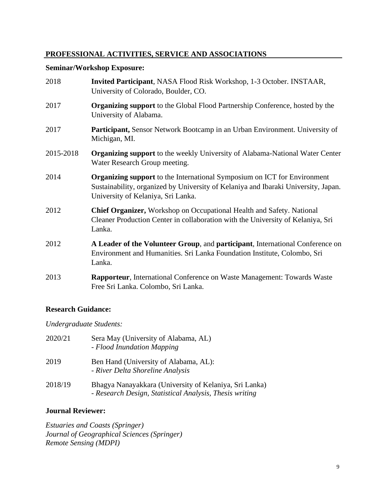# **PROFESSIONAL ACTIVITIES, SERVICE AND ASSOCIATIONS**

# **Seminar/Workshop Exposure:**

| 2018      | Invited Participant, NASA Flood Risk Workshop, 1-3 October. INSTAAR,<br>University of Colorado, Boulder, CO.                                                                                                |
|-----------|-------------------------------------------------------------------------------------------------------------------------------------------------------------------------------------------------------------|
| 2017      | <b>Organizing support</b> to the Global Flood Partnership Conference, hosted by the<br>University of Alabama.                                                                                               |
| 2017      | Participant, Sensor Network Bootcamp in an Urban Environment. University of<br>Michigan, MI.                                                                                                                |
| 2015-2018 | <b>Organizing support</b> to the weekly University of Alabama-National Water Center<br>Water Research Group meeting.                                                                                        |
| 2014      | <b>Organizing support to the International Symposium on ICT for Environment</b><br>Sustainability, organized by University of Kelaniya and Ibaraki University, Japan.<br>University of Kelaniya, Sri Lanka. |
| 2012      | Chief Organizer, Workshop on Occupational Health and Safety. National<br>Cleaner Production Center in collaboration with the University of Kelaniya, Sri<br>Lanka.                                          |
| 2012      | A Leader of the Volunteer Group, and participant, International Conference on<br>Environment and Humanities. Sri Lanka Foundation Institute, Colombo, Sri<br>Lanka.                                         |
| 2013      | <b>Rapporteur</b> , International Conference on Waste Management: Towards Waste<br>Free Sri Lanka. Colombo, Sri Lanka.                                                                                      |

# **Research Guidance:**

*Undergraduate Students:*

| 2020/21 | Sera May (University of Alabama, AL)<br>- Flood Inundation Mapping                                                |
|---------|-------------------------------------------------------------------------------------------------------------------|
| 2019    | Ben Hand (University of Alabama, AL):<br>- River Delta Shoreline Analysis                                         |
| 2018/19 | Bhagya Nanayakkara (University of Kelaniya, Sri Lanka)<br>- Research Design, Statistical Analysis, Thesis writing |

# **Journal Reviewer:**

*Estuaries and Coasts (Springer) Journal of Geographical Sciences (Springer) Remote Sensing (MDPI)*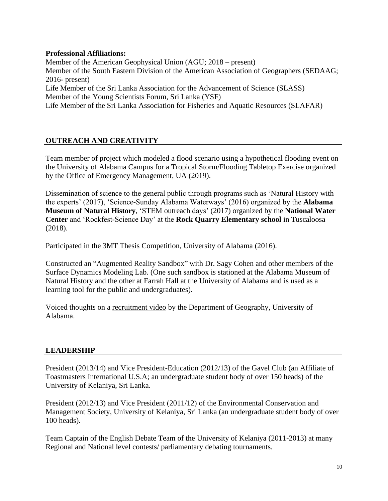### **Professional Affiliations:**

Member of the American Geophysical Union (AGU; 2018 – present) Member of the South Eastern Division of the American Association of Geographers (SEDAAG; 2016- present) Life Member of the Sri Lanka Association for the Advancement of Science (SLASS) Member of the Young Scientists Forum, Sri Lanka (YSF) Life Member of the Sri Lanka Association for Fisheries and Aquatic Resources (SLAFAR)

# **OUTREACH AND CREATIVITY**

Team member of project which modeled a flood scenario using a hypothetical flooding event on the University of Alabama Campus for a Tropical Storm/Flooding Tabletop Exercise organized by the Office of Emergency Management, UA (2019).

Dissemination of science to the general public through programs such as 'Natural History with the experts' (2017), 'Science-Sunday Alabama Waterways' (2016) organized by the **Alabama Museum of Natural History**, 'STEM outreach days' (2017) organized by the **National Water Center** and 'Rockfest-Science Day' at the **Rock Quarry Elementary school** in Tuscaloosa (2018).

Participated in the 3MT Thesis Competition, University of Alabama (2016).

Constructed an ["Augmented](https://abc3340.com/news/local/augmented-reality-sandbox-on-uas-campus-helps-educate-public-about-hydrological-processes) Reality Sandbox" with Dr. Sagy Cohen and other members of the Surface Dynamics Modeling Lab. (One such sandbox is stationed at the Alabama Museum of Natural History and the other at Farrah Hall at the University of Alabama and is used as a learning tool for the public and undergraduates).

Voiced thoughts on a [recruitment video](https://vimeo.com/219397832) by the Department of Geography, University of Alabama.

# **LEADERSHIP**

President (2013/14) and Vice President-Education (2012/13) of the Gavel Club (an Affiliate of Toastmasters International U.S.A; an undergraduate student body of over 150 heads) of the University of Kelaniya, Sri Lanka.

President (2012/13) and Vice President (2011/12) of the Environmental Conservation and Management Society, University of Kelaniya, Sri Lanka (an undergraduate student body of over 100 heads).

Team Captain of the English Debate Team of the University of Kelaniya (2011-2013) at many Regional and National level contests/ parliamentary debating tournaments.